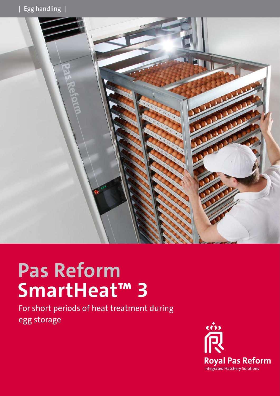

# **Pas Reform SmartHeat™ 3**

For short periods of heat treatment during egg storage